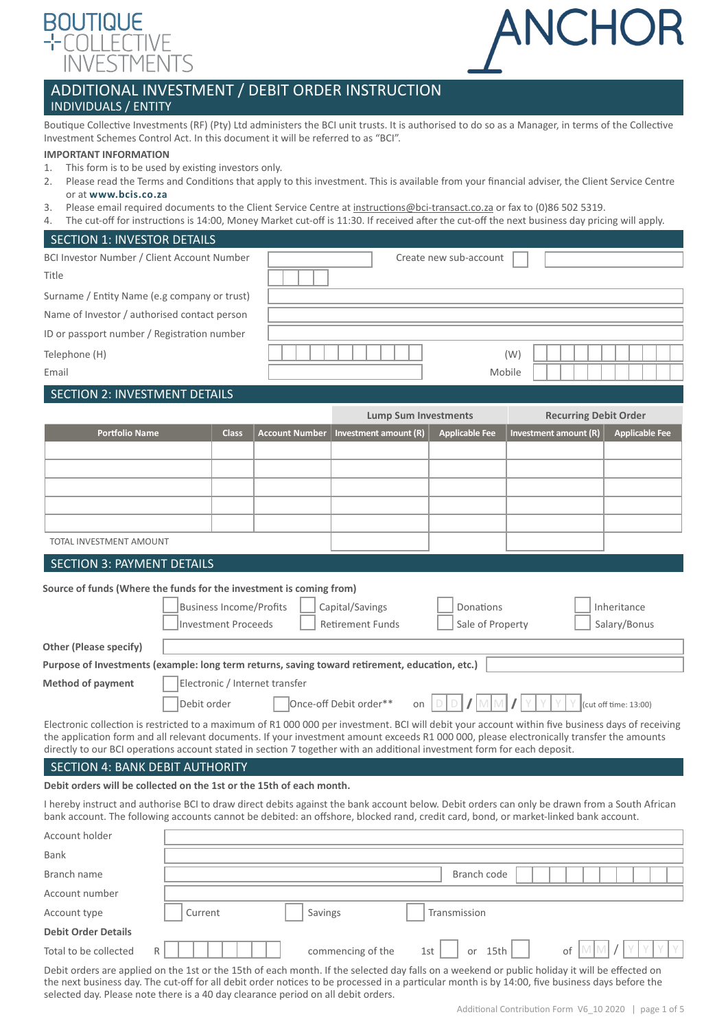

# ANCHOR

# ADDITIONAL INVESTMENT / DEBIT ORDER INSTRUCTION INDIVIDUALS / ENTITY

Boutique Collective Investments (RF) (Pty) Ltd administers the BCI unit trusts. It is authorised to do so as a Manager, in terms of the Collective Investment Schemes Control Act. In this document it will be referred to as "BCI".

### **IMPORTANT INFORMATION**

- 1. This form is to be used by existing investors only.
- 2. Please read the Terms and Conditions that apply to this investment. This is available from your financial adviser, the Client Service Centre or at **[www.bcis.co.za](http://www.bcis.co.za)**
- 3. Please email required documents to the Client Service Centre at [instructions@bci-transact.co.za](mailto:instructions%40bci-transact.co.za?subject=) or fax to (0)86 502 5319.
- 4. The cut-off for instructions is 14:00, Money Market cut-off is 11:30. If received after the cut-off the next business day pricing will apply.

# SECTION 1: INVESTOR DETAILS

| BCI Investor Number / Client Account Number  | Create new sub-account |
|----------------------------------------------|------------------------|
| Title                                        |                        |
| Surname / Entity Name (e.g company or trust) |                        |
| Name of Investor / authorised contact person |                        |
| ID or passport number / Registration number  |                        |
| Telephone (H)                                | (W)                    |
| Email                                        | Mobile                 |

## SECTION 2: INVESTMENT DETAILS

|                                                                                                                                                                                                                                                                                                                                                                                                                            |              |                       | <b>Lump Sum Investments</b> |                       | <b>Recurring Debit Order</b> |                       |  |  |
|----------------------------------------------------------------------------------------------------------------------------------------------------------------------------------------------------------------------------------------------------------------------------------------------------------------------------------------------------------------------------------------------------------------------------|--------------|-----------------------|-----------------------------|-----------------------|------------------------------|-----------------------|--|--|
| <b>Portfolio Name</b>                                                                                                                                                                                                                                                                                                                                                                                                      | <b>Class</b> | <b>Account Number</b> | Investment amount (R)       | <b>Applicable Fee</b> | Investment amount (R)        | <b>Applicable Fee</b> |  |  |
|                                                                                                                                                                                                                                                                                                                                                                                                                            |              |                       |                             |                       |                              |                       |  |  |
|                                                                                                                                                                                                                                                                                                                                                                                                                            |              |                       |                             |                       |                              |                       |  |  |
|                                                                                                                                                                                                                                                                                                                                                                                                                            |              |                       |                             |                       |                              |                       |  |  |
|                                                                                                                                                                                                                                                                                                                                                                                                                            |              |                       |                             |                       |                              |                       |  |  |
|                                                                                                                                                                                                                                                                                                                                                                                                                            |              |                       |                             |                       |                              |                       |  |  |
| TOTAL INVESTMENT AMOUNT                                                                                                                                                                                                                                                                                                                                                                                                    |              |                       |                             |                       |                              |                       |  |  |
| <b>SECTION 3: PAYMENT DETAILS</b>                                                                                                                                                                                                                                                                                                                                                                                          |              |                       |                             |                       |                              |                       |  |  |
| Source of funds (Where the funds for the investment is coming from)<br><b>Business Income/Profits</b><br>Capital/Savings<br>Donations<br>Inheritance<br><b>Retirement Funds</b><br>Sale of Property<br>Salary/Bonus<br>Investment Proceeds                                                                                                                                                                                 |              |                       |                             |                       |                              |                       |  |  |
| <b>Other (Please specify)</b>                                                                                                                                                                                                                                                                                                                                                                                              |              |                       |                             |                       |                              |                       |  |  |
| Purpose of Investments (example: long term returns, saving toward retirement, education, etc.)                                                                                                                                                                                                                                                                                                                             |              |                       |                             |                       |                              |                       |  |  |
| Electronic / Internet transfer<br><b>Method of payment</b>                                                                                                                                                                                                                                                                                                                                                                 |              |                       |                             |                       |                              |                       |  |  |
| Once-off Debit order**<br>Debit order<br>on<br>(cut off time: 13:00)                                                                                                                                                                                                                                                                                                                                                       |              |                       |                             |                       |                              |                       |  |  |
| Electronic collection is restricted to a maximum of R1 000 000 per investment. BCI will debit your account within five business days of receiving<br>the application form and all relevant documents. If your investment amount exceeds R1 000 000, please electronically transfer the amounts<br>directly to our BCI operations account stated in section 7 together with an additional investment form for each deposit. |              |                       |                             |                       |                              |                       |  |  |

### SECTION 4: BANK DEBIT AUTHORITY

### **Debit orders will be collected on the 1st or the 15th of each month.**

I hereby instruct and authorise BCI to draw direct debits against the bank account below. Debit orders can only be drawn from a South African bank account. The following accounts cannot be debited: an offshore, blocked rand, credit card, bond, or market-linked bank account.

| Account holder             |              |                   |                   |    |
|----------------------------|--------------|-------------------|-------------------|----|
| Bank                       |              |                   |                   |    |
| Branch name                |              |                   | Branch code       |    |
| Account number             |              |                   |                   |    |
| Account type               | Current      | Savings           | Transmission      |    |
| <b>Debit Order Details</b> |              |                   |                   |    |
| Total to be collected      | $\mathsf{R}$ | commencing of the | 15th<br>1st<br>or | of |

Debit orders are applied on the 1st or the 15th of each month. If the selected day falls on a weekend or public holiday it will be effected on the next business day. The cut-off for all debit order notices to be processed in a particular month is by 14:00, five business days before the selected day. Please note there is a 40 day clearance period on all debit orders.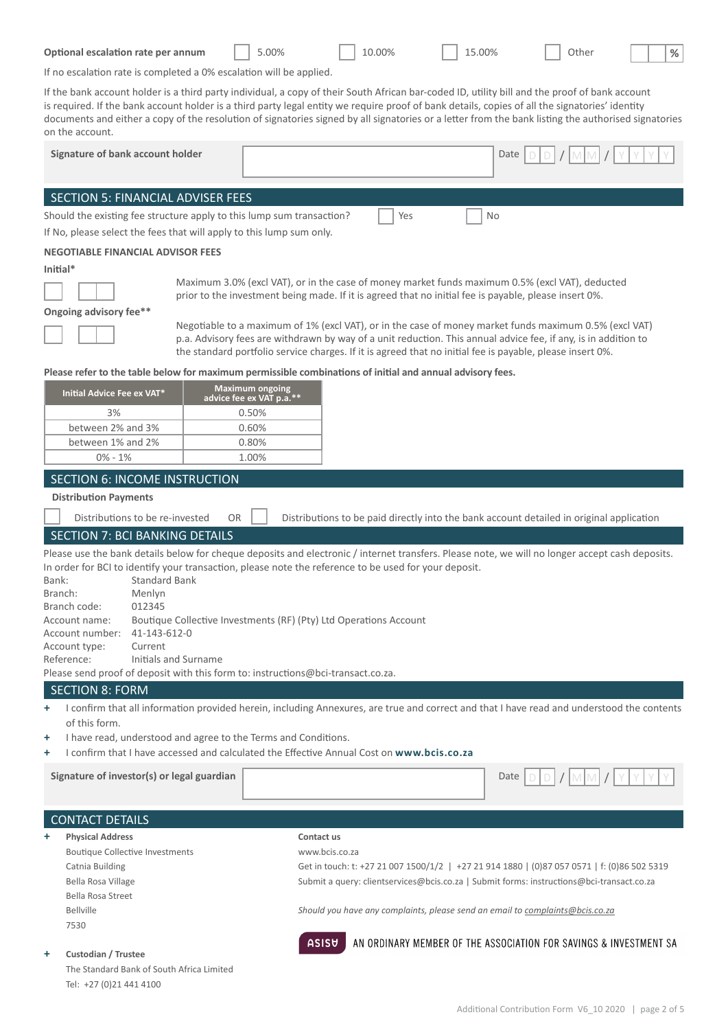| Optional escalation rate per annum |  | $5.00\%$ |  | 10.00% |  | 15.00% |  | Other |
|------------------------------------|--|----------|--|--------|--|--------|--|-------|
|------------------------------------|--|----------|--|--------|--|--------|--|-------|

**%**

If no escalation rate is completed a 0% escalation will be applied.

If the bank account holder is a third party individual, a copy of their South African bar-coded ID, utility bill and the proof of bank account is required. If the bank account holder is a third party legal entity we require proof of bank details, copies of all the signatories' identity

| on the account.                                                                                                    |                                                                   |                                                                                                           | documents and either a copy of the resolution of signatories signed by all signatories or a letter from the bank listing the authorised signatories |
|--------------------------------------------------------------------------------------------------------------------|-------------------------------------------------------------------|-----------------------------------------------------------------------------------------------------------|-----------------------------------------------------------------------------------------------------------------------------------------------------|
| Signature of bank account holder                                                                                   |                                                                   |                                                                                                           | Date                                                                                                                                                |
| SECTION 5: FINANCIAL ADVISER FEES                                                                                  |                                                                   |                                                                                                           |                                                                                                                                                     |
| Should the existing fee structure apply to this lump sum transaction?                                              |                                                                   | Yes                                                                                                       | No                                                                                                                                                  |
| If No, please select the fees that will apply to this lump sum only.                                               |                                                                   |                                                                                                           |                                                                                                                                                     |
| <b>NEGOTIABLE FINANCIAL ADVISOR FEES</b>                                                                           |                                                                   |                                                                                                           |                                                                                                                                                     |
| Initial*                                                                                                           |                                                                   |                                                                                                           |                                                                                                                                                     |
|                                                                                                                    |                                                                   | prior to the investment being made. If it is agreed that no initial fee is payable, please insert 0%.     | Maximum 3.0% (excl VAT), or in the case of money market funds maximum 0.5% (excl VAT), deducted                                                     |
| Ongoing advisory fee**                                                                                             |                                                                   |                                                                                                           | Negotiable to a maximum of 1% (excl VAT), or in the case of money market funds maximum 0.5% (excl VAT)                                              |
|                                                                                                                    |                                                                   | the standard portfolio service charges. If it is agreed that no initial fee is payable, please insert 0%. | p.a. Advisory fees are withdrawn by way of a unit reduction. This annual advice fee, if any, is in addition to                                      |
|                                                                                                                    |                                                                   | Please refer to the table below for maximum permissible combinations of initial and annual advisory fees. |                                                                                                                                                     |
| Initial Advice Fee ex VAT*                                                                                         | <b>Maximum ongoing</b><br>advice fee ex VAT p.a.**                |                                                                                                           |                                                                                                                                                     |
| 3%                                                                                                                 | 0.50%                                                             |                                                                                                           |                                                                                                                                                     |
| between 2% and 3%<br>between 1% and 2%                                                                             | 0.60%<br>0.80%                                                    |                                                                                                           |                                                                                                                                                     |
| $0\% - 1\%$                                                                                                        | 1.00%                                                             |                                                                                                           |                                                                                                                                                     |
| SECTION 6: INCOME INSTRUCTION                                                                                      |                                                                   |                                                                                                           |                                                                                                                                                     |
| <b>Distribution Payments</b>                                                                                       |                                                                   |                                                                                                           |                                                                                                                                                     |
| Distributions to be re-invested                                                                                    | <b>OR</b>                                                         |                                                                                                           | Distributions to be paid directly into the bank account detailed in original application                                                            |
| <b>SECTION 7: BCI BANKING DETAILS</b>                                                                              |                                                                   |                                                                                                           |                                                                                                                                                     |
| Bank:<br><b>Standard Bank</b><br>Menlyn<br>Branch:<br>Branch code:<br>012345                                       |                                                                   | In order for BCI to identify your transaction, please note the reference to be used for your deposit.     | Please use the bank details below for cheque deposits and electronic / internet transfers. Please note, we will no longer accept cash deposits.     |
| Account name:<br>41-143-612-0<br>Account number:<br>Current<br>Account type:<br>Initials and Surname<br>Reference: | Boutique Collective Investments (RF) (Pty) Ltd Operations Account |                                                                                                           |                                                                                                                                                     |
| Please send proof of deposit with this form to: instructions@bci-transact.co.za.                                   |                                                                   |                                                                                                           |                                                                                                                                                     |
| <b>SECTION 8: FORM</b>                                                                                             |                                                                   |                                                                                                           |                                                                                                                                                     |
| +<br>of this form.                                                                                                 |                                                                   |                                                                                                           | I confirm that all information provided herein, including Annexures, are true and correct and that I have read and understood the contents          |
| ÷                                                                                                                  | I have read, understood and agree to the Terms and Conditions.    |                                                                                                           |                                                                                                                                                     |
| +                                                                                                                  |                                                                   | I confirm that I have accessed and calculated the Effective Annual Cost on www.bcis.co.za                 |                                                                                                                                                     |

|   | Signature of investor(s) or legal guardian | $[D]/[M][M]/[Y][Y][Y][Y]$<br>Date                                                           |
|---|--------------------------------------------|---------------------------------------------------------------------------------------------|
|   | <b>CONTACT DETAILS</b>                     |                                                                                             |
| ٠ | <b>Physical Address</b>                    | Contact us                                                                                  |
|   | <b>Boutique Collective Investments</b>     | www.bcis.co.za                                                                              |
|   | Catnia Building                            | Get in touch: t: +27 21 007 1500/1/2   +27 21 914 1880   (0)87 057 0571   f: (0)86 502 5319 |
|   | Bella Rosa Village                         | Submit a query: clientservices@bcis.co.za   Submit forms: instructions@bci-transact.co.za   |
|   | Bella Rosa Street                          |                                                                                             |
|   | <b>Bellville</b>                           | Should you have any complaints, please send an email to complaints@bcis.co.za               |
|   | 7530                                       |                                                                                             |

 $ASISU$ 

### **+ Custodian / Trustee**

The Standard Bank of South Africa Limited Tel: +27 (0)21 441 4100

AN ORDINARY MEMBER OF THE ASSOCIATION FOR SAVINGS & INVESTMENT SA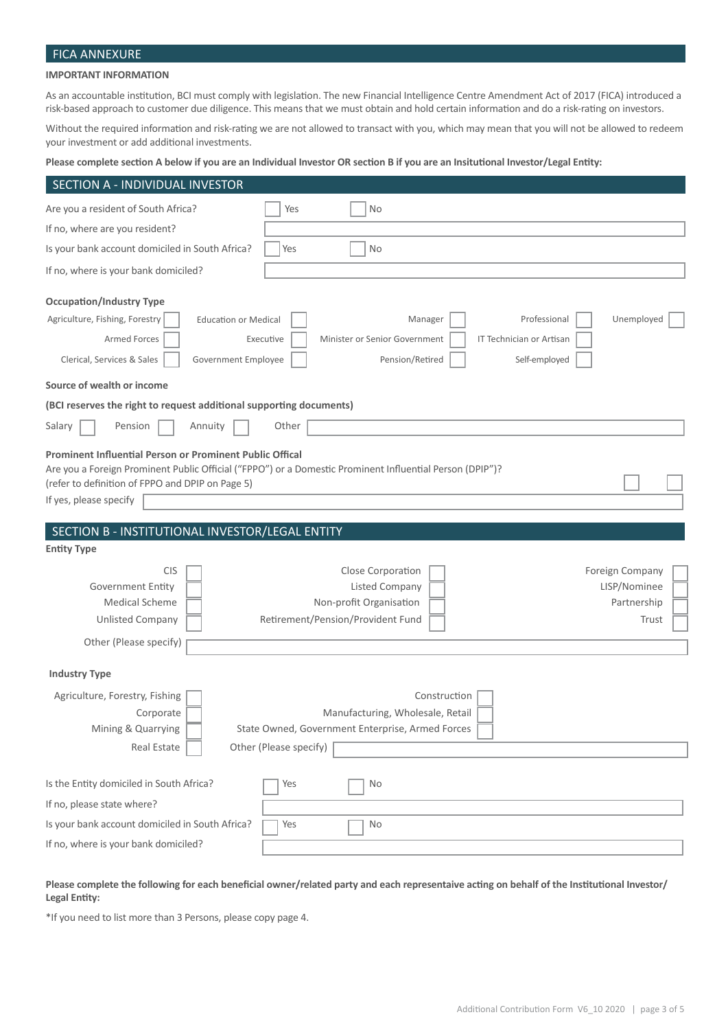# FICA ANNEXURE

### **IMPORTANT INFORMATION**

As an accountable institution, BCI must comply with legislation. The new Financial Intelligence Centre Amendment Act of 2017 (FICA) introduced a risk-based approach to customer due diligence. This means that we must obtain and hold certain information and do a risk-rating on investors.

Without the required information and risk-rating we are not allowed to transact with you, which may mean that you will not be allowed to redeem your investment or add additional investments.

### **Please complete section A below if you are an Individual Investor OR section B if you are an Insitutional Investor/Legal Entity:**

| SECTION A - INDIVIDUAL INVESTOR                                                                                                        |                                                                                                                                  |                                                         |
|----------------------------------------------------------------------------------------------------------------------------------------|----------------------------------------------------------------------------------------------------------------------------------|---------------------------------------------------------|
| Are you a resident of South Africa?                                                                                                    | No<br>Yes                                                                                                                        |                                                         |
| If no, where are you resident?                                                                                                         |                                                                                                                                  |                                                         |
| Is your bank account domiciled in South Africa?                                                                                        | Yes<br><b>No</b>                                                                                                                 |                                                         |
| If no, where is your bank domiciled?                                                                                                   |                                                                                                                                  |                                                         |
| <b>Occupation/Industry Type</b><br>Agriculture, Fishing, Forestry<br><b>Education or Medical</b><br>Armed Forces                       | Manager<br>Professional<br>Executive<br>Minister or Senior Government<br>IT Technician or Artisan                                | Unemployed                                              |
| Clerical, Services & Sales<br>Government Employee                                                                                      | Pension/Retired<br>Self-employed                                                                                                 |                                                         |
| Source of wealth or income                                                                                                             |                                                                                                                                  |                                                         |
| (BCI reserves the right to request additional supporting documents)                                                                    |                                                                                                                                  |                                                         |
| Salary<br>Pension<br>Annuity                                                                                                           | Other                                                                                                                            |                                                         |
| Prominent Influential Person or Prominent Public Offical<br>(refer to definition of FPPO and DPIP on Page 5)<br>If yes, please specify | Are you a Foreign Prominent Public Official ("FPPO") or a Domestic Prominent Influential Person (DPIP")?                         |                                                         |
|                                                                                                                                        |                                                                                                                                  |                                                         |
| SECTION B - INSTITUTIONAL INVESTOR/LEGAL ENTITY                                                                                        |                                                                                                                                  |                                                         |
| <b>Entity Type</b>                                                                                                                     |                                                                                                                                  |                                                         |
| <b>CIS</b><br><b>Government Entity</b><br><b>Medical Scheme</b><br><b>Unlisted Company</b>                                             | Close Corporation<br><b>Listed Company</b><br>Non-profit Organisation<br>Retirement/Pension/Provident Fund                       | Foreign Company<br>LISP/Nominee<br>Partnership<br>Trust |
| Other (Please specify)                                                                                                                 |                                                                                                                                  |                                                         |
| <b>Industry Type</b>                                                                                                                   |                                                                                                                                  |                                                         |
| Agriculture, Forestry, Fishing<br>Corporate<br>Mining & Quarrying<br>Real Estate                                                       | Construction<br>Manufacturing, Wholesale, Retail<br>State Owned, Government Enterprise, Armed Forces  <br>Other (Please specify) |                                                         |
| Is the Entity domiciled in South Africa?                                                                                               | No<br>Yes                                                                                                                        |                                                         |
| If no, please state where?                                                                                                             |                                                                                                                                  |                                                         |
| Is your bank account domiciled in South Africa?<br>If no, where is your bank domiciled?                                                | Yes<br>No                                                                                                                        |                                                         |

### **Please complete the following for each beneficial owner/related party and each representaive acting on behalf of the Institutional Investor/ Legal Entity:**

\*If you need to list more than 3 Persons, please copy page 4.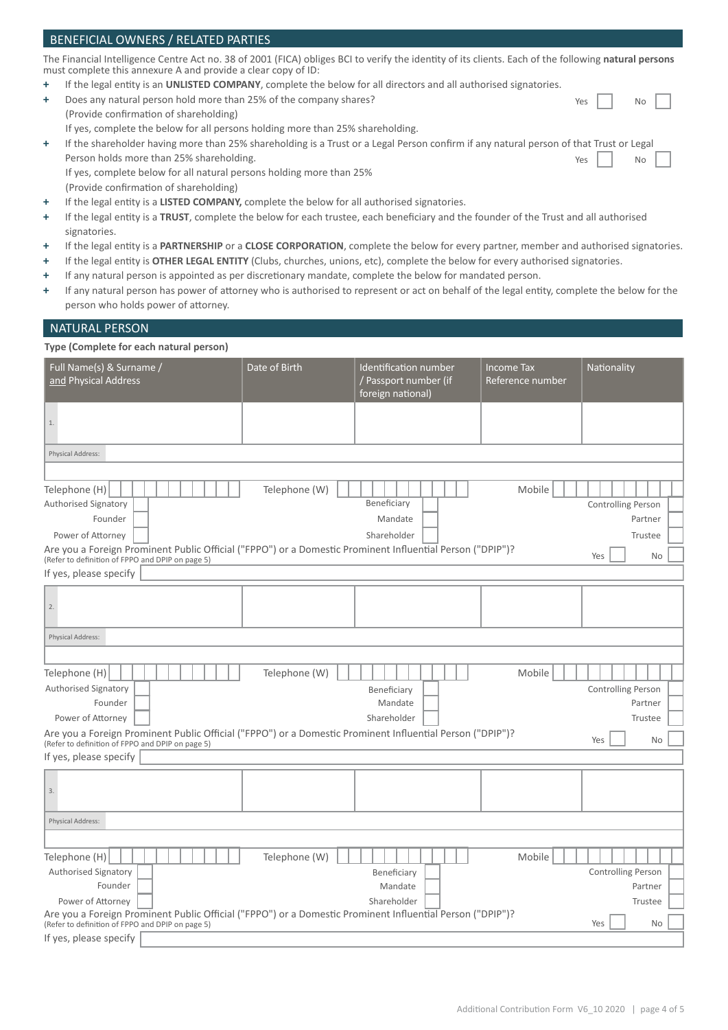### BENEFICIAL OWNERS / RELATED PARTIES The Financial Intelligence Centre Act no. 38 of 2001 (FICA) obliges BCI to verify the identity of its clients. Each of the following **natural persons**  must complete this annexure A and provide a clear copy of ID: **+** If the legal entity is an **UNLISTED COMPANY**, complete the below for all directors and all authorised signatories. **+** Does any natural person hold more than 25% of the company shares? (Provide confirmation of shareholding) If yes, complete the below for all persons holding more than 25% shareholding. **+** If the shareholder having more than 25% shareholding is a Trust or a Legal Person confirm if any natural person of that Trust or Legal Person holds more than 25% shareholding. Yes | | No Yes | | No

 If yes, complete below for all natural persons holding more than 25% (Provide confirmation of shareholding)

- **+** If the legal entity is a **LISTED COMPANY,** complete the below for all authorised signatories.
- **+** If the legal entity is a **TRUST**, complete the below for each trustee, each beneficiary and the founder of the Trust and all authorised signatories.
- **+** If the legal entity is a **PARTNERSHIP** or a **CLOSE CORPORATION**, complete the below for every partner, member and authorised signatories.
- **+** If the legal entity is **OTHER LEGAL ENTITY** (Clubs, churches, unions, etc), complete the below for every authorised signatories.
- **+** If any natural person is appointed as per discretionary mandate, complete the below for mandated person.
- **+** If any natural person has power of attorney who is authorised to represent or act on behalf of the legal entity, complete the below for the person who holds power of attorney.

### NATURAL PERSON

### **Type (Complete for each natural person)**

| Full Name(s) & Surname /<br>and Physical Address                                                                                                              | Date of Birth | Identification number<br>/ Passport number (if<br>foreign national) | <b>Income Tax</b><br>Reference number | Nationality               |  |  |  |
|---------------------------------------------------------------------------------------------------------------------------------------------------------------|---------------|---------------------------------------------------------------------|---------------------------------------|---------------------------|--|--|--|
| $1.$                                                                                                                                                          |               |                                                                     |                                       |                           |  |  |  |
| Physical Address:                                                                                                                                             |               |                                                                     |                                       |                           |  |  |  |
|                                                                                                                                                               |               |                                                                     |                                       |                           |  |  |  |
| Telephone (H)<br>Authorised Signatory                                                                                                                         | Telephone (W) | Beneficiary                                                         | Mobile                                | Controlling Person        |  |  |  |
| Founder                                                                                                                                                       |               | Mandate                                                             |                                       | Partner                   |  |  |  |
| Power of Attorney                                                                                                                                             |               | Shareholder                                                         |                                       | Trustee                   |  |  |  |
| Are you a Foreign Prominent Public Official ("FPPO") or a Domestic Prominent Influential Person ("DPIP")?<br>(Refer to definition of FPPO and DPIP on page 5) |               |                                                                     |                                       | Yes<br><b>No</b>          |  |  |  |
| If yes, please specify                                                                                                                                        |               |                                                                     |                                       |                           |  |  |  |
| 2.                                                                                                                                                            |               |                                                                     |                                       |                           |  |  |  |
| Physical Address:                                                                                                                                             |               |                                                                     |                                       |                           |  |  |  |
|                                                                                                                                                               |               |                                                                     |                                       |                           |  |  |  |
| Telephone (H)                                                                                                                                                 | Telephone (W) |                                                                     | Mobile                                |                           |  |  |  |
| Authorised Signatory                                                                                                                                          |               | Beneficiary                                                         |                                       | <b>Controlling Person</b> |  |  |  |
| Founder                                                                                                                                                       |               | Mandate                                                             |                                       | Partner                   |  |  |  |
| Power of Attorney                                                                                                                                             |               | Shareholder                                                         |                                       | Trustee                   |  |  |  |
| Are you a Foreign Prominent Public Official ("FPPO") or a Domestic Prominent Influential Person ("DPIP")?<br>(Refer to definition of FPPO and DPIP on page 5) |               |                                                                     |                                       | Yes<br><b>No</b>          |  |  |  |
| If yes, please specify                                                                                                                                        |               |                                                                     |                                       |                           |  |  |  |
| 3.                                                                                                                                                            |               |                                                                     |                                       |                           |  |  |  |
| Physical Address:                                                                                                                                             |               |                                                                     |                                       |                           |  |  |  |
|                                                                                                                                                               |               |                                                                     |                                       |                           |  |  |  |
| Telephone (H)                                                                                                                                                 | Telephone (W) |                                                                     | Mobile                                |                           |  |  |  |
| Authorised Signatory                                                                                                                                          |               | Beneficiary                                                         |                                       | <b>Controlling Person</b> |  |  |  |
| Founder                                                                                                                                                       |               | Mandate<br>Shareholder                                              |                                       | Partner                   |  |  |  |
| Power of Attorney<br>Are you a Foreign Prominent Public Official ("FPPO") or a Domestic Prominent Influential Person ("DPIP")?                                |               |                                                                     |                                       | Trustee                   |  |  |  |
| (Refer to definition of FPPO and DPIP on page 5)                                                                                                              |               |                                                                     |                                       | Yes<br><b>No</b>          |  |  |  |
| If yes, please specify                                                                                                                                        |               |                                                                     |                                       |                           |  |  |  |